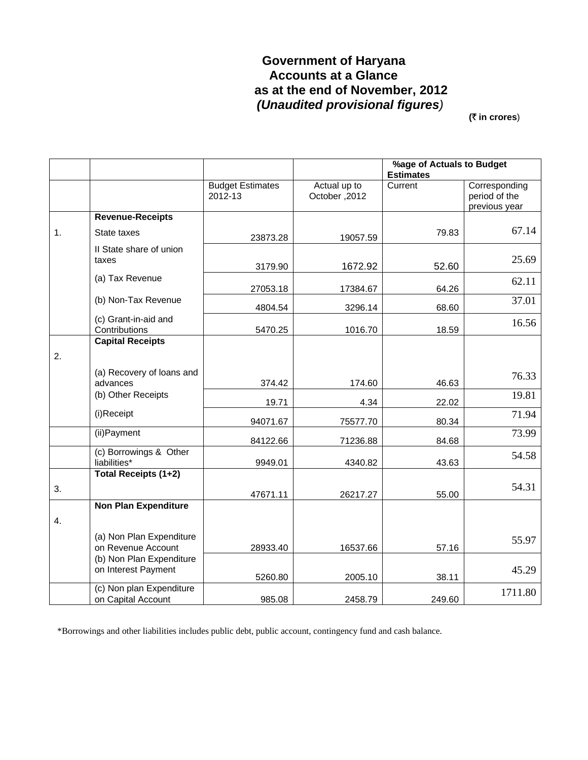# **Government of Haryana Accounts at a Glance as at the end of November, 2012**   *(Unaudited provisional figures)*

**(**` **in crores**)

|    |                                                 |                                    |                               | %age of Actuals to Budget<br><b>Estimates</b> |                                                 |
|----|-------------------------------------------------|------------------------------------|-------------------------------|-----------------------------------------------|-------------------------------------------------|
|    |                                                 | <b>Budget Estimates</b><br>2012-13 | Actual up to<br>October, 2012 | Current                                       | Corresponding<br>period of the<br>previous year |
|    | <b>Revenue-Receipts</b>                         |                                    |                               |                                               |                                                 |
| 1. | State taxes                                     | 23873.28                           | 19057.59                      | 79.83                                         | 67.14                                           |
|    | Il State share of union<br>taxes                | 3179.90                            | 1672.92                       | 52.60                                         | 25.69                                           |
|    | (a) Tax Revenue                                 | 27053.18                           | 17384.67                      | 64.26                                         | 62.11                                           |
|    | (b) Non-Tax Revenue                             | 4804.54                            | 3296.14                       | 68.60                                         | 37.01                                           |
|    | (c) Grant-in-aid and<br>Contributions           | 5470.25                            | 1016.70                       | 18.59                                         | 16.56                                           |
|    | <b>Capital Receipts</b>                         |                                    |                               |                                               |                                                 |
| 2. |                                                 |                                    |                               |                                               |                                                 |
|    | (a) Recovery of loans and<br>advances           | 374.42                             | 174.60                        | 46.63                                         | 76.33                                           |
|    | (b) Other Receipts                              | 19.71                              | 4.34                          | 22.02                                         | 19.81                                           |
|    | (i)Receipt                                      | 94071.67                           | 75577.70                      | 80.34                                         | 71.94                                           |
|    | (ii) Payment                                    | 84122.66                           | 71236.88                      | 84.68                                         | 73.99                                           |
|    | (c) Borrowings & Other<br>liabilities*          | 9949.01                            | 4340.82                       | 43.63                                         | 54.58                                           |
|    | Total Receipts (1+2)                            |                                    |                               |                                               |                                                 |
| 3. |                                                 | 47671.11                           | 26217.27                      | 55.00                                         | 54.31                                           |
|    | <b>Non Plan Expenditure</b>                     |                                    |                               |                                               |                                                 |
| 4. |                                                 |                                    |                               |                                               |                                                 |
|    | (a) Non Plan Expenditure<br>on Revenue Account  | 28933.40                           | 16537.66                      | 57.16                                         | 55.97                                           |
|    | (b) Non Plan Expenditure<br>on Interest Payment | 5260.80                            | 2005.10                       | 38.11                                         | 45.29                                           |
|    | (c) Non plan Expenditure                        |                                    |                               |                                               | 1711.80                                         |
|    | on Capital Account                              | 985.08                             | 2458.79                       | 249.60                                        |                                                 |

\*Borrowings and other liabilities includes public debt, public account, contingency fund and cash balance.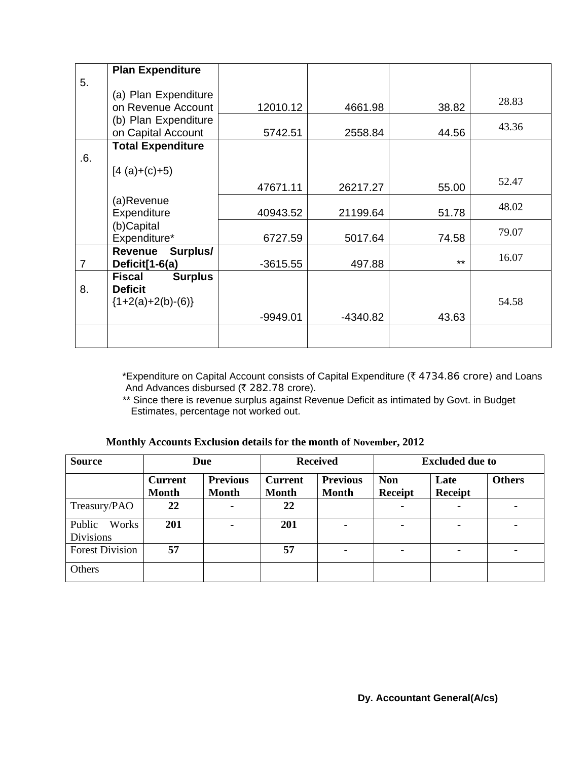|                | <b>Plan Expenditure</b>         |            |          |       |       |
|----------------|---------------------------------|------------|----------|-------|-------|
| 5.             |                                 |            |          |       |       |
|                | (a) Plan Expenditure            |            |          |       | 28.83 |
|                | on Revenue Account              | 12010.12   | 4661.98  | 38.82 |       |
|                | (b) Plan Expenditure            |            |          |       | 43.36 |
|                | on Capital Account              | 5742.51    | 2558.84  | 44.56 |       |
|                | <b>Total Expenditure</b>        |            |          |       |       |
| .6.            |                                 |            |          |       |       |
|                | $[4 (a)+(c)+5)$                 |            |          |       |       |
|                |                                 | 47671.11   | 26217.27 | 55.00 | 52.47 |
|                | (a)Revenue                      |            |          |       | 48.02 |
|                | Expenditure                     | 40943.52   | 21199.64 | 51.78 |       |
|                | (b)Capital                      |            |          |       | 79.07 |
|                | Expenditure*                    | 6727.59    | 5017.64  | 74.58 |       |
|                | Surplus/<br>Revenue             |            |          |       | 16.07 |
| $\overline{7}$ | Deficit[1-6(a)                  | $-3615.55$ | 497.88   | $***$ |       |
|                | <b>Surplus</b><br><b>Fiscal</b> |            |          |       |       |
| 8.             | <b>Deficit</b>                  |            |          |       |       |
|                | ${1+2(a)+2(b)-(6)}$             |            |          |       | 54.58 |
|                |                                 | $-9949.01$ | -4340.82 | 43.63 |       |
|                |                                 |            |          |       |       |
|                |                                 |            |          |       |       |

\*Expenditure on Capital Account consists of Capital Expenditure ( $\bar{\tau}$  4734.86 crore) and Loans And Advances disbursed (₹ 282.78 crore).

 \*\* Since there is revenue surplus against Revenue Deficit as intimated by Govt. in Budget Estimates, percentage not worked out.

| Monthly Accounts Exclusion details for the month of November, 2012 |
|--------------------------------------------------------------------|
|--------------------------------------------------------------------|

| <b>Source</b><br>Due                |                                |                                 | <b>Received</b>                |                                 | <b>Excluded due to</b>       |                        |               |
|-------------------------------------|--------------------------------|---------------------------------|--------------------------------|---------------------------------|------------------------------|------------------------|---------------|
|                                     | <b>Current</b><br><b>Month</b> | <b>Previous</b><br><b>Month</b> | <b>Current</b><br><b>Month</b> | <b>Previous</b><br><b>Month</b> | <b>Non</b><br><b>Receipt</b> | Late<br><b>Receipt</b> | <b>Others</b> |
| Treasury/PAO                        | 22                             |                                 | 22                             |                                 |                              |                        |               |
| Public<br>Works<br><b>Divisions</b> | 201                            |                                 | 201                            | $\blacksquare$                  | ۰                            | -                      | ۰             |
| <b>Forest Division</b>              | 57                             |                                 | 57                             |                                 |                              |                        |               |
| Others                              |                                |                                 |                                |                                 |                              |                        |               |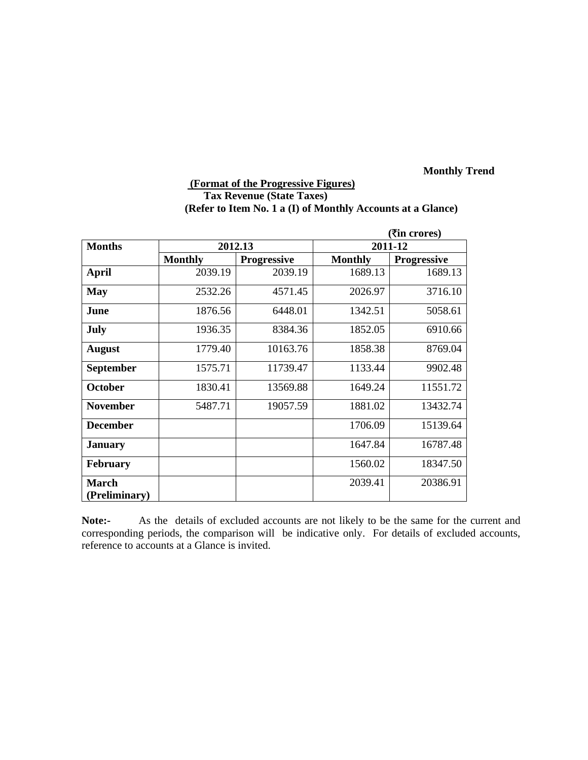# **(Format of the Progressive Figures) Tax Revenue (State Taxes) (Refer to Item No. 1 a (I) of Monthly Accounts at a Glance)**

|                               |                |                    |                | ( <b>₹</b> in crores) |  |
|-------------------------------|----------------|--------------------|----------------|-----------------------|--|
| <b>Months</b>                 |                | 2012.13            | 2011-12        |                       |  |
|                               | <b>Monthly</b> | <b>Progressive</b> | <b>Monthly</b> | <b>Progressive</b>    |  |
| <b>April</b>                  | 2039.19        | 2039.19            | 1689.13        | 1689.13               |  |
| <b>May</b>                    | 2532.26        | 4571.45            | 2026.97        | 3716.10               |  |
| June                          | 1876.56        | 6448.01            | 1342.51        | 5058.61               |  |
| July                          | 1936.35        | 8384.36            | 1852.05        | 6910.66               |  |
| <b>August</b>                 | 1779.40        | 10163.76           | 1858.38        | 8769.04               |  |
| <b>September</b>              | 1575.71        | 11739.47           | 1133.44        | 9902.48               |  |
| <b>October</b>                | 1830.41        | 13569.88           | 1649.24        | 11551.72              |  |
| <b>November</b>               | 5487.71        | 19057.59           | 1881.02        | 13432.74              |  |
| <b>December</b>               |                |                    | 1706.09        | 15139.64              |  |
| <b>January</b>                |                |                    | 1647.84        | 16787.48              |  |
| <b>February</b>               |                |                    | 1560.02        | 18347.50              |  |
| <b>March</b><br>(Preliminary) |                |                    | 2039.41        | 20386.91              |  |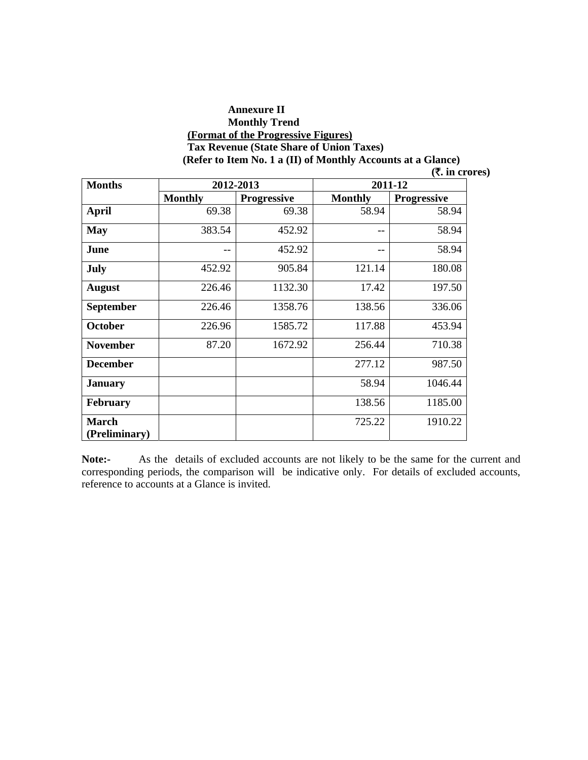#### **Annexure II Monthly Trend (Format of the Progressive Figures) Tax Revenue (State Share of Union Taxes) (Refer to Item No. 1 a (II) of Monthly Accounts at a Glance)**

| <b>Months</b>                 |                | 2012-2013          | 2011-12        |                    |
|-------------------------------|----------------|--------------------|----------------|--------------------|
|                               | <b>Monthly</b> | <b>Progressive</b> | <b>Monthly</b> | <b>Progressive</b> |
| <b>April</b>                  | 69.38          | 69.38              | 58.94          | 58.94              |
| <b>May</b>                    | 383.54         | 452.92             | --             | 58.94              |
| June                          | --             | 452.92             | $- -$          | 58.94              |
| July                          | 452.92         | 905.84             | 121.14         | 180.08             |
| <b>August</b>                 | 226.46         | 1132.30            | 17.42          | 197.50             |
| <b>September</b>              | 226.46         | 1358.76            | 138.56         | 336.06             |
| <b>October</b>                | 226.96         | 1585.72            | 117.88         | 453.94             |
| <b>November</b>               | 87.20          | 1672.92            | 256.44         | 710.38             |
| <b>December</b>               |                |                    | 277.12         | 987.50             |
| <b>January</b>                |                |                    | 58.94          | 1046.44            |
| <b>February</b>               |                |                    | 138.56         | 1185.00            |
| <b>March</b><br>(Preliminary) |                |                    | 725.22         | 1910.22            |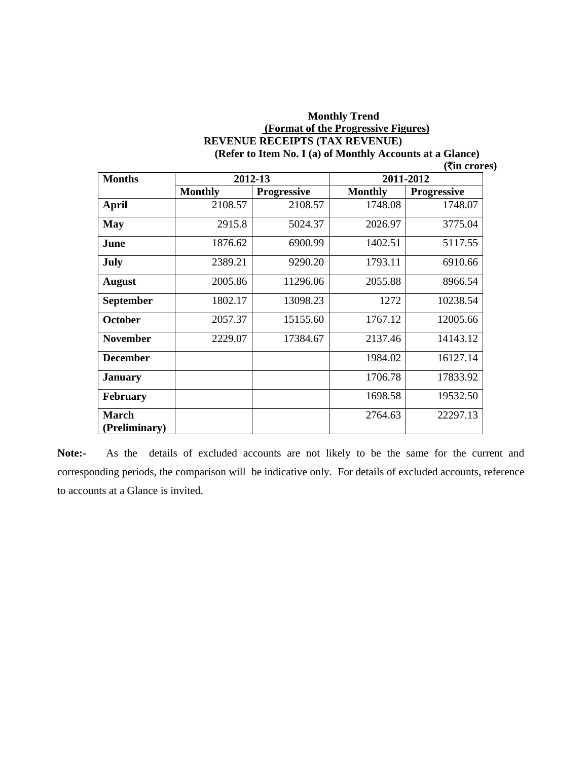#### **Monthly Trend (Format of the Progressive Figures) REVENUE RECEIPTS (TAX REVENUE) (Refer to Item No. I (a) of Monthly Accounts at a Glance)**

|  | $($ <b>₹in crores</b> ) |
|--|-------------------------|
|--|-------------------------|

| <b>Months</b>    | 2012-13        |                    | 2011-2012      |                    |  |
|------------------|----------------|--------------------|----------------|--------------------|--|
|                  | <b>Monthly</b> | <b>Progressive</b> | <b>Monthly</b> | <b>Progressive</b> |  |
| April            | 2108.57        | 2108.57            | 1748.08        | 1748.07            |  |
| <b>May</b>       | 2915.8         | 5024.37            | 2026.97        | 3775.04            |  |
| June             | 1876.62        | 6900.99            | 1402.51        | 5117.55            |  |
| July             | 2389.21        | 9290.20            | 1793.11        | 6910.66            |  |
| <b>August</b>    | 2005.86        | 11296.06           | 2055.88        | 8966.54            |  |
| <b>September</b> | 1802.17        | 13098.23           | 1272           | 10238.54           |  |
| <b>October</b>   | 2057.37        | 15155.60           | 1767.12        | 12005.66           |  |
| <b>November</b>  | 2229.07        | 17384.67           | 2137.46        | 14143.12           |  |
| <b>December</b>  |                |                    | 1984.02        | 16127.14           |  |
| <b>January</b>   |                |                    | 1706.78        | 17833.92           |  |
| February         |                |                    | 1698.58        | 19532.50           |  |
| March            |                |                    | 2764.63        | 22297.13           |  |
| (Preliminary)    |                |                    |                |                    |  |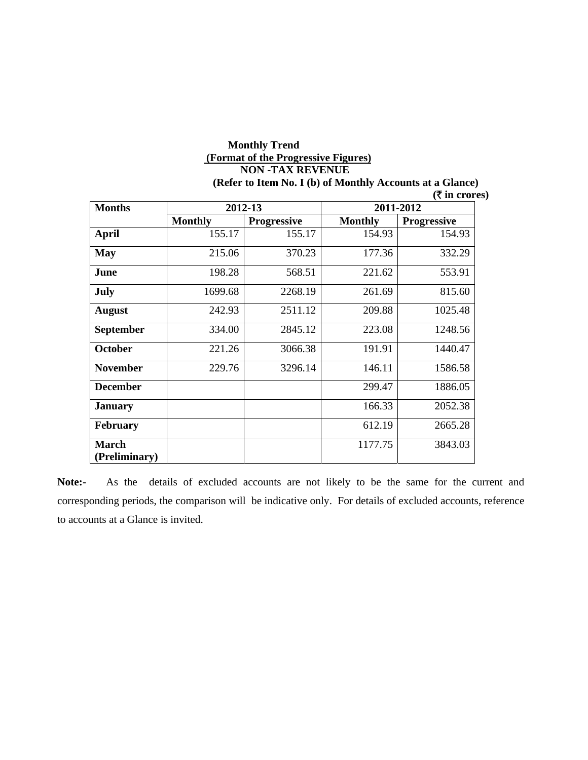# **Monthly Trend (Format of the Progressive Figures) NON -TAX REVENUE**

**(Refer to Item No. I (b) of Monthly Accounts at a Glance)** 

| <b>Months</b>                 | 2012-13        |                    | 2011-2012      |                    |  |
|-------------------------------|----------------|--------------------|----------------|--------------------|--|
|                               | <b>Monthly</b> | <b>Progressive</b> | <b>Monthly</b> | <b>Progressive</b> |  |
| <b>April</b>                  | 155.17         | 155.17             | 154.93         | 154.93             |  |
| <b>May</b>                    | 215.06         | 370.23             | 177.36         | 332.29             |  |
| June                          | 198.28         | 568.51             | 221.62         | 553.91             |  |
| July                          | 1699.68        | 2268.19            | 261.69         | 815.60             |  |
| <b>August</b>                 | 242.93         | 2511.12            | 209.88         | 1025.48            |  |
| <b>September</b>              | 334.00         | 2845.12            | 223.08         | 1248.56            |  |
| <b>October</b>                | 221.26         | 3066.38            | 191.91         | 1440.47            |  |
| <b>November</b>               | 229.76         | 3296.14            | 146.11         | 1586.58            |  |
| <b>December</b>               |                |                    | 299.47         | 1886.05            |  |
| <b>January</b>                |                |                    | 166.33         | 2052.38            |  |
| <b>February</b>               |                |                    | 612.19         | 2665.28            |  |
| <b>March</b><br>(Preliminary) |                |                    | 1177.75        | 3843.03            |  |

**Note:-** As the details of excluded accounts are not likely to be the same for the current and corresponding periods, the comparison will be indicative only. For details of excluded accounts, reference to accounts at a Glance is invited.

 **(**` **in crores)**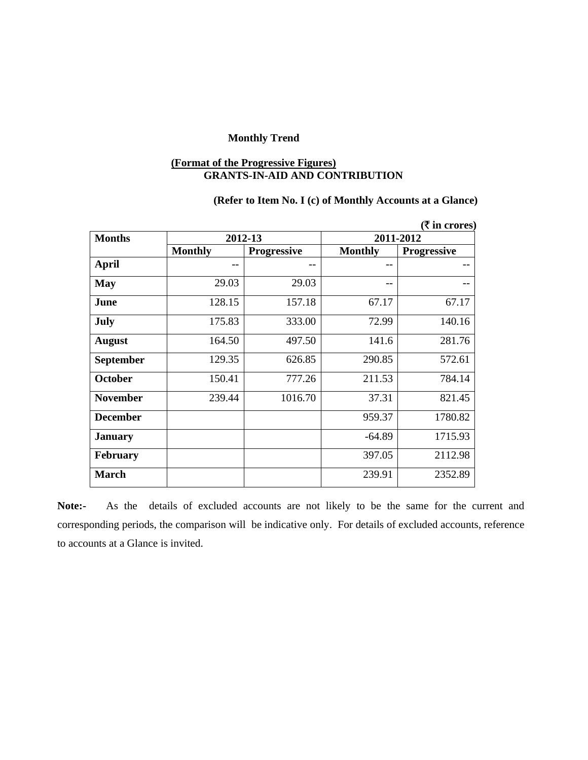#### **(Format of the Progressive Figures) GRANTS-IN-AID AND CONTRIBUTION**

## **(Refer to Item No. I (c) of Monthly Accounts at a Glance)**

|                  |                |                    |                | ( ₹ in cross)      |
|------------------|----------------|--------------------|----------------|--------------------|
| <b>Months</b>    |                | 2012-13            | 2011-2012      |                    |
|                  | <b>Monthly</b> | <b>Progressive</b> | <b>Monthly</b> | <b>Progressive</b> |
| <b>April</b>     | --             | --                 | --             |                    |
| <b>May</b>       | 29.03          | 29.03              | --             |                    |
| June             | 128.15         | 157.18             | 67.17          | 67.17              |
| <b>July</b>      | 175.83         | 333.00             | 72.99          | 140.16             |
| <b>August</b>    | 164.50         | 497.50             | 141.6          | 281.76             |
| <b>September</b> | 129.35         | 626.85             | 290.85         | 572.61             |
| <b>October</b>   | 150.41         | 777.26             | 211.53         | 784.14             |
| <b>November</b>  | 239.44         | 1016.70            | 37.31          | 821.45             |
| <b>December</b>  |                |                    | 959.37         | 1780.82            |
| <b>January</b>   |                |                    | $-64.89$       | 1715.93            |
| <b>February</b>  |                |                    | 397.05         | 2112.98            |
| <b>March</b>     |                |                    | 239.91         | 2352.89            |

**Note:-** As the details of excluded accounts are not likely to be the same for the current and corresponding periods, the comparison will be indicative only. For details of excluded accounts, reference to accounts at a Glance is invited.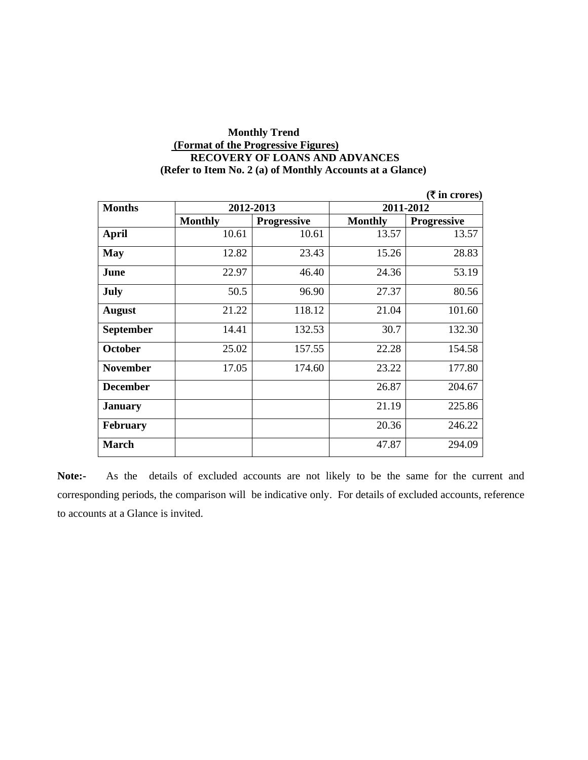### **Monthly Trend (Format of the Progressive Figures) RECOVERY OF LOANS AND ADVANCES (Refer to Item No. 2 (a) of Monthly Accounts at a Glance)**

|                  |                |                    |                | ( <b>₹</b> in crores) |  |
|------------------|----------------|--------------------|----------------|-----------------------|--|
| <b>Months</b>    |                | 2012-2013          | 2011-2012      |                       |  |
|                  | <b>Monthly</b> | <b>Progressive</b> | <b>Monthly</b> | <b>Progressive</b>    |  |
| <b>April</b>     | 10.61          | 10.61              | 13.57          | 13.57                 |  |
| <b>May</b>       | 12.82          | 23.43              | 15.26          | 28.83                 |  |
| June             | 22.97          | 46.40              | 24.36          | 53.19                 |  |
| July             | 50.5           | 96.90              | 27.37          | 80.56                 |  |
| <b>August</b>    | 21.22          | 118.12             | 21.04          | 101.60                |  |
| <b>September</b> | 14.41          | 132.53             | 30.7           | 132.30                |  |
| <b>October</b>   | 25.02          | 157.55             | 22.28          | 154.58                |  |
| <b>November</b>  | 17.05          | 174.60             | 23.22          | 177.80                |  |
| <b>December</b>  |                |                    | 26.87          | 204.67                |  |
| <b>January</b>   |                |                    | 21.19          | 225.86                |  |
| <b>February</b>  |                |                    | 20.36          | 246.22                |  |
| <b>March</b>     |                |                    | 47.87          | 294.09                |  |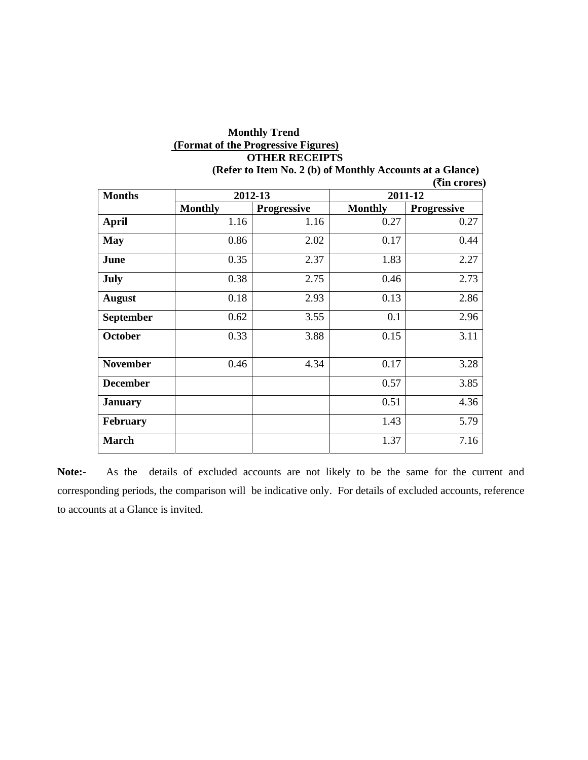# **Monthly Trend (Format of the Progressive Figures) OTHER RECEIPTS**

|                  |                |                    |                | ( <b>₹in crores</b> ) |
|------------------|----------------|--------------------|----------------|-----------------------|
| <b>Months</b>    |                | 2012-13            |                | 2011-12               |
|                  | <b>Monthly</b> | <b>Progressive</b> | <b>Monthly</b> | <b>Progressive</b>    |
| <b>April</b>     | 1.16           | 1.16               | 0.27           | 0.27                  |
| <b>May</b>       | 0.86           | 2.02               | 0.17           | 0.44                  |
| June             | 0.35           | 2.37               | 1.83           | 2.27                  |
| July             | 0.38           | 2.75               | 0.46           | 2.73                  |
| <b>August</b>    | 0.18           | 2.93               | 0.13           | 2.86                  |
| <b>September</b> | 0.62           | 3.55               | 0.1            | 2.96                  |
| <b>October</b>   | 0.33           | 3.88               | 0.15           | 3.11                  |
| <b>November</b>  | 0.46           | 4.34               | 0.17           | 3.28                  |
| <b>December</b>  |                |                    | 0.57           | 3.85                  |
| <b>January</b>   |                |                    | 0.51           | 4.36                  |
| <b>February</b>  |                |                    | 1.43           | 5.79                  |
| <b>March</b>     |                |                    | 1.37           | 7.16                  |

**(Refer to Item No. 2 (b) of Monthly Accounts at a Glance)**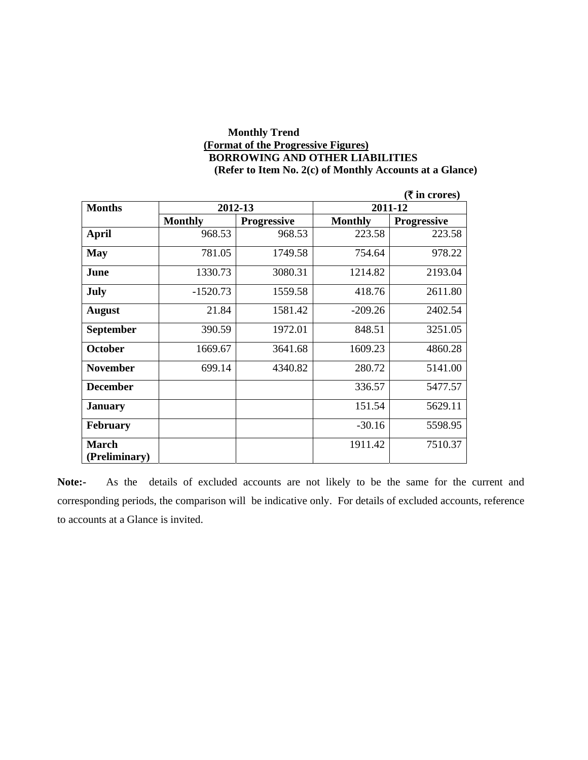### **Monthly Trend (Format of the Progressive Figures) BORROWING AND OTHER LIABILITIES (Refer to Item No. 2(c) of Monthly Accounts at a Glance)**

|                  |                |                    |                | $(ξ$ in crores)    |
|------------------|----------------|--------------------|----------------|--------------------|
| <b>Months</b>    | 2012-13        |                    |                | 2011-12            |
|                  | <b>Monthly</b> | <b>Progressive</b> | <b>Monthly</b> | <b>Progressive</b> |
| April            | 968.53         | 968.53             | 223.58         | 223.58             |
| <b>May</b>       | 781.05         | 1749.58            | 754.64         | 978.22             |
| June             | 1330.73        | 3080.31            | 1214.82        | 2193.04            |
| July             | $-1520.73$     | 1559.58            | 418.76         | 2611.80            |
| <b>August</b>    | 21.84          | 1581.42            | $-209.26$      | 2402.54            |
| <b>September</b> | 390.59         | 1972.01            | 848.51         | 3251.05            |
| <b>October</b>   | 1669.67        | 3641.68            | 1609.23        | 4860.28            |
| <b>November</b>  | 699.14         | 4340.82            | 280.72         | 5141.00            |
| <b>December</b>  |                |                    | 336.57         | 5477.57            |
| <b>January</b>   |                |                    | 151.54         | 5629.11            |
| <b>February</b>  |                |                    | $-30.16$       | 5598.95            |
| <b>March</b>     |                |                    | 1911.42        | 7510.37            |
| (Preliminary)    |                |                    |                |                    |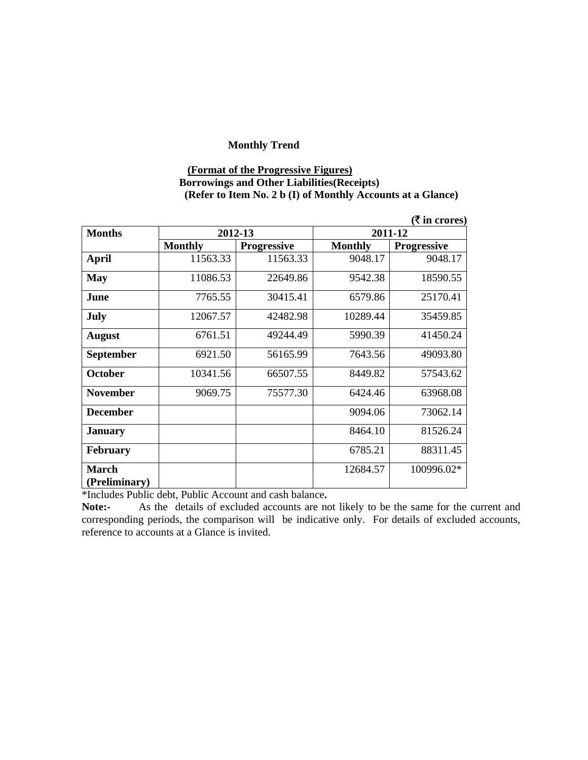#### **(Format of the Progressive Figures) Borrowings and Other Liabilities(Receipts) (Refer to Item No. 2 b (I) of Monthly Accounts at a Glance)**

|                  |                |                    |                | $($ ₹ in crores)   |
|------------------|----------------|--------------------|----------------|--------------------|
| <b>Months</b>    | 2012-13        |                    |                | 2011-12            |
|                  | <b>Monthly</b> | <b>Progressive</b> | <b>Monthly</b> | <b>Progressive</b> |
| <b>April</b>     | 11563.33       | 11563.33           | 9048.17        | 9048.17            |
| <b>May</b>       | 11086.53       | 22649.86           | 9542.38        | 18590.55           |
| June             | 7765.55        | 30415.41           | 6579.86        | 25170.41           |
| July             | 12067.57       | 42482.98           | 10289.44       | 35459.85           |
| <b>August</b>    | 6761.51        | 49244.49           | 5990.39        | 41450.24           |
| <b>September</b> | 6921.50        | 56165.99           | 7643.56        | 49093.80           |
| <b>October</b>   | 10341.56       | 66507.55           | 8449.82        | 57543.62           |
| <b>November</b>  | 9069.75        | 75577.30           | 6424.46        | 63968.08           |
| <b>December</b>  |                |                    | 9094.06        | 73062.14           |
| <b>January</b>   |                |                    | 8464.10        | 81526.24           |
| <b>February</b>  |                |                    | 6785.21        | 88311.45           |
| <b>March</b>     |                |                    | 12684.57       | 100996.02*         |
| (Preliminary)    |                |                    |                |                    |

\*Includes Public debt, Public Account and cash balance**.**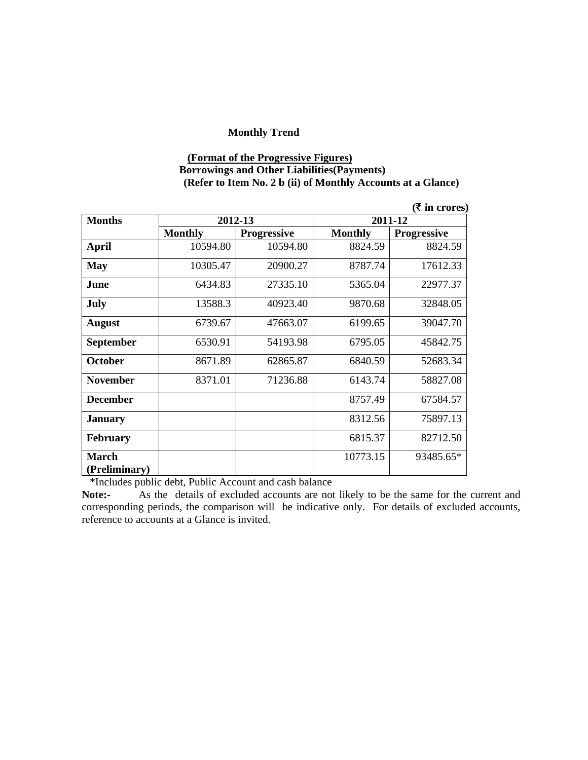#### **(Format of the Progressive Figures) Borrowings and Other Liabilities(Payments) (Refer to Item No. 2 b (ii) of Monthly Accounts at a Glance)**

|                               |                |                    |                | $($ ₹ in crores)   |
|-------------------------------|----------------|--------------------|----------------|--------------------|
| <b>Months</b>                 | 2012-13        |                    | 2011-12        |                    |
|                               | <b>Monthly</b> | <b>Progressive</b> | <b>Monthly</b> | <b>Progressive</b> |
| <b>April</b>                  | 10594.80       | 10594.80           | 8824.59        | 8824.59            |
| <b>May</b>                    | 10305.47       | 20900.27           | 8787.74        | 17612.33           |
| June                          | 6434.83        | 27335.10           | 5365.04        | 22977.37           |
| July                          | 13588.3        | 40923.40           | 9870.68        | 32848.05           |
| <b>August</b>                 | 6739.67        | 47663.07           | 6199.65        | 39047.70           |
| September                     | 6530.91        | 54193.98           | 6795.05        | 45842.75           |
| <b>October</b>                | 8671.89        | 62865.87           | 6840.59        | 52683.34           |
| <b>November</b>               | 8371.01        | 71236.88           | 6143.74        | 58827.08           |
| <b>December</b>               |                |                    | 8757.49        | 67584.57           |
| <b>January</b>                |                |                    | 8312.56        | 75897.13           |
| <b>February</b>               |                |                    | 6815.37        | 82712.50           |
| <b>March</b><br>(Preliminary) |                |                    | 10773.15       | 93485.65*          |

\*Includes public debt, Public Account and cash balance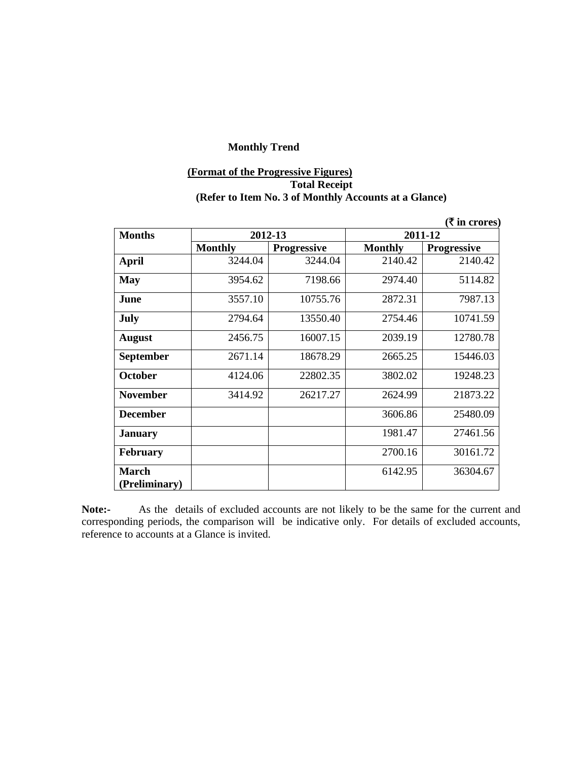# **(Format of the Progressive Figures) Total Receipt (Refer to Item No. 3 of Monthly Accounts at a Glance)**

|                               |                |                    |                | $($ <b>₹</b> in crores) |
|-------------------------------|----------------|--------------------|----------------|-------------------------|
| <b>Months</b>                 |                | 2012-13            | 2011-12        |                         |
|                               | <b>Monthly</b> | <b>Progressive</b> | <b>Monthly</b> | <b>Progressive</b>      |
| April                         | 3244.04        | 3244.04            | 2140.42        | 2140.42                 |
| <b>May</b>                    | 3954.62        | 7198.66            | 2974.40        | 5114.82                 |
| June                          | 3557.10        | 10755.76           | 2872.31        | 7987.13                 |
| July                          | 2794.64        | 13550.40           | 2754.46        | 10741.59                |
| <b>August</b>                 | 2456.75        | 16007.15           | 2039.19        | 12780.78                |
| <b>September</b>              | 2671.14        | 18678.29           | 2665.25        | 15446.03                |
| <b>October</b>                | 4124.06        | 22802.35           | 3802.02        | 19248.23                |
| <b>November</b>               | 3414.92        | 26217.27           | 2624.99        | 21873.22                |
| <b>December</b>               |                |                    | 3606.86        | 25480.09                |
| <b>January</b>                |                |                    | 1981.47        | 27461.56                |
| <b>February</b>               |                |                    | 2700.16        | 30161.72                |
| <b>March</b><br>(Preliminary) |                |                    | 6142.95        | 36304.67                |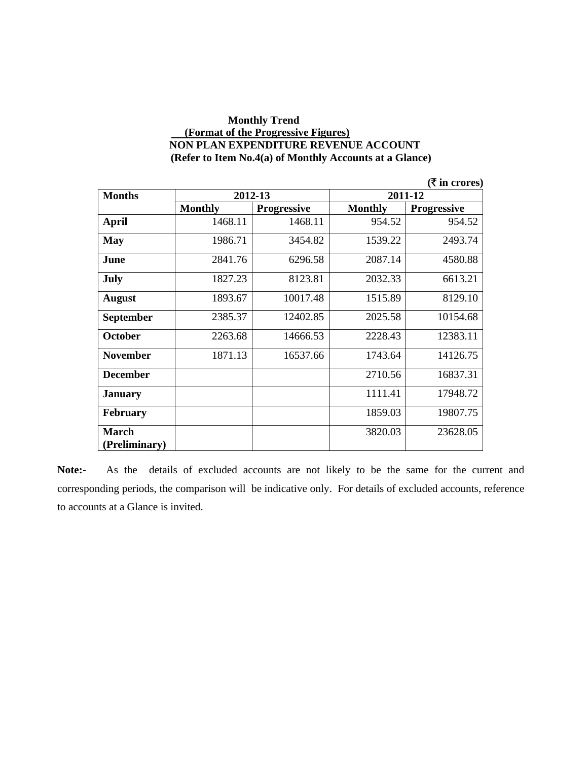#### **Monthly Trend (Format of the Progressive Figures) NON PLAN EXPENDITURE REVENUE ACCOUNT (Refer to Item No.4(a) of Monthly Accounts at a Glance)**

|                  |                |                    |                | ( ₹ in cross)      |
|------------------|----------------|--------------------|----------------|--------------------|
| <b>Months</b>    |                | 2012-13            | 2011-12        |                    |
|                  | <b>Monthly</b> | <b>Progressive</b> | <b>Monthly</b> | <b>Progressive</b> |
| <b>April</b>     | 1468.11        | 1468.11            | 954.52         | 954.52             |
| <b>May</b>       | 1986.71        | 3454.82            | 1539.22        | 2493.74            |
| June             | 2841.76        | 6296.58            | 2087.14        | 4580.88            |
| <b>July</b>      | 1827.23        | 8123.81            | 2032.33        | 6613.21            |
| <b>August</b>    | 1893.67        | 10017.48           | 1515.89        | 8129.10            |
| <b>September</b> | 2385.37        | 12402.85           | 2025.58        | 10154.68           |
| <b>October</b>   | 2263.68        | 14666.53           | 2228.43        | 12383.11           |
| <b>November</b>  | 1871.13        | 16537.66           | 1743.64        | 14126.75           |
| <b>December</b>  |                |                    | 2710.56        | 16837.31           |
| <b>January</b>   |                |                    | 1111.41        | 17948.72           |
| <b>February</b>  |                |                    | 1859.03        | 19807.75           |
| <b>March</b>     |                |                    | 3820.03        | 23628.05           |
| (Preliminary)    |                |                    |                |                    |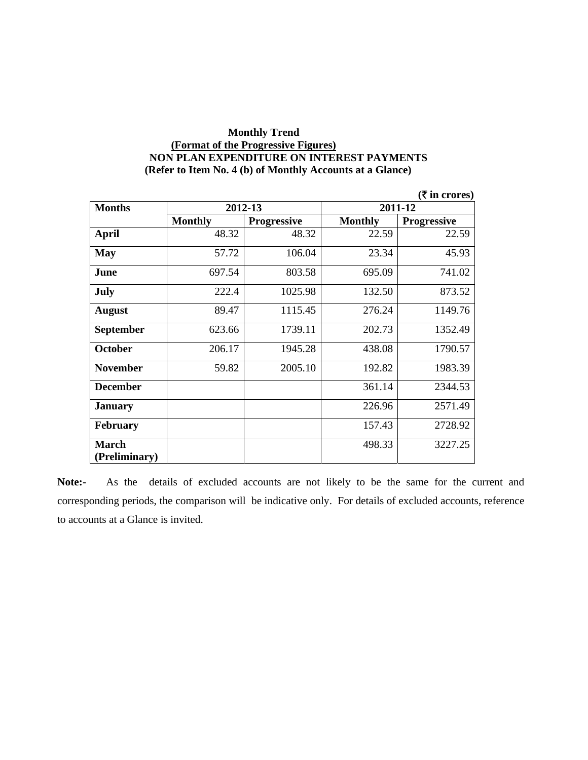### **Monthly Trend (Format of the Progressive Figures) NON PLAN EXPENDITURE ON INTEREST PAYMENTS (Refer to Item No. 4 (b) of Monthly Accounts at a Glance)**

|                  |                |                    |                | ( ₹ in cross)      |
|------------------|----------------|--------------------|----------------|--------------------|
| <b>Months</b>    | 2012-13        |                    |                | 2011-12            |
|                  | <b>Monthly</b> | <b>Progressive</b> | <b>Monthly</b> | <b>Progressive</b> |
| <b>April</b>     | 48.32          | 48.32              | 22.59          | 22.59              |
| <b>May</b>       | 57.72          | 106.04             | 23.34          | 45.93              |
| June             | 697.54         | 803.58             | 695.09         | 741.02             |
| July             | 222.4          | 1025.98            | 132.50         | 873.52             |
| <b>August</b>    | 89.47          | 1115.45            | 276.24         | 1149.76            |
| <b>September</b> | 623.66         | 1739.11            | 202.73         | 1352.49            |
| <b>October</b>   | 206.17         | 1945.28            | 438.08         | 1790.57            |
| <b>November</b>  | 59.82          | 2005.10            | 192.82         | 1983.39            |
| <b>December</b>  |                |                    | 361.14         | 2344.53            |
| <b>January</b>   |                |                    | 226.96         | 2571.49            |
| <b>February</b>  |                |                    | 157.43         | 2728.92            |
| <b>March</b>     |                |                    | 498.33         | 3227.25            |
| (Preliminary)    |                |                    |                |                    |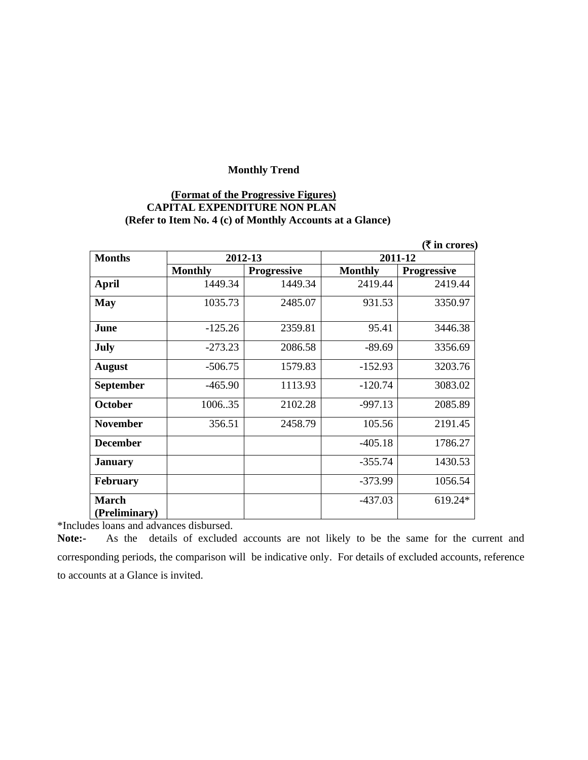### **(Format of the Progressive Figures) CAPITAL EXPENDITURE NON PLAN (Refer to Item No. 4 (c) of Monthly Accounts at a Glance)**

|                               |                |                    |                | ( ₹ in cross)      |
|-------------------------------|----------------|--------------------|----------------|--------------------|
| <b>Months</b>                 | 2012-13        |                    |                | 2011-12            |
|                               | <b>Monthly</b> | <b>Progressive</b> | <b>Monthly</b> | <b>Progressive</b> |
| <b>April</b>                  | 1449.34        | 1449.34            | 2419.44        | 2419.44            |
| <b>May</b>                    | 1035.73        | 2485.07            | 931.53         | 3350.97            |
| June                          | $-125.26$      | 2359.81            | 95.41          | 3446.38            |
| <b>July</b>                   | $-273.23$      | 2086.58            | $-89.69$       | 3356.69            |
| <b>August</b>                 | $-506.75$      | 1579.83            | $-152.93$      | 3203.76            |
| <b>September</b>              | $-465.90$      | 1113.93            | $-120.74$      | 3083.02            |
| <b>October</b>                | 100635         | 2102.28            | $-997.13$      | 2085.89            |
| <b>November</b>               | 356.51         | 2458.79            | 105.56         | 2191.45            |
| <b>December</b>               |                |                    | $-405.18$      | 1786.27            |
| <b>January</b>                |                |                    | $-355.74$      | 1430.53            |
| <b>February</b>               |                |                    | $-373.99$      | 1056.54            |
| <b>March</b><br>(Preliminary) |                |                    | $-437.03$      | 619.24*            |

\*Includes loans and advances disbursed.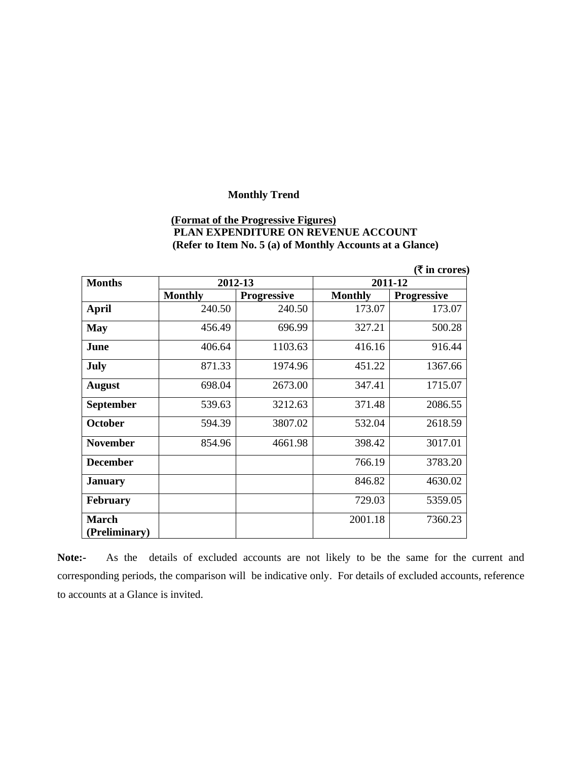# **(Format of the Progressive Figures) PLAN EXPENDITURE ON REVENUE ACCOUNT (Refer to Item No. 5 (a) of Monthly Accounts at a Glance)**

|                  |                |                    |                | ( ₹ in cross)      |
|------------------|----------------|--------------------|----------------|--------------------|
| <b>Months</b>    | 2012-13        |                    | 2011-12        |                    |
|                  | <b>Monthly</b> | <b>Progressive</b> | <b>Monthly</b> | <b>Progressive</b> |
| <b>April</b>     | 240.50         | 240.50             | 173.07         | 173.07             |
| <b>May</b>       | 456.49         | 696.99             | 327.21         | 500.28             |
| June             | 406.64         | 1103.63            | 416.16         | 916.44             |
| July             | 871.33         | 1974.96            | 451.22         | 1367.66            |
| <b>August</b>    | 698.04         | 2673.00            | 347.41         | 1715.07            |
| <b>September</b> | 539.63         | 3212.63            | 371.48         | 2086.55            |
| <b>October</b>   | 594.39         | 3807.02            | 532.04         | 2618.59            |
| <b>November</b>  | 854.96         | 4661.98            | 398.42         | 3017.01            |
| <b>December</b>  |                |                    | 766.19         | 3783.20            |
| <b>January</b>   |                |                    | 846.82         | 4630.02            |
| <b>February</b>  |                |                    | 729.03         | 5359.05            |
| <b>March</b>     |                |                    | 2001.18        | 7360.23            |
| (Preliminary)    |                |                    |                |                    |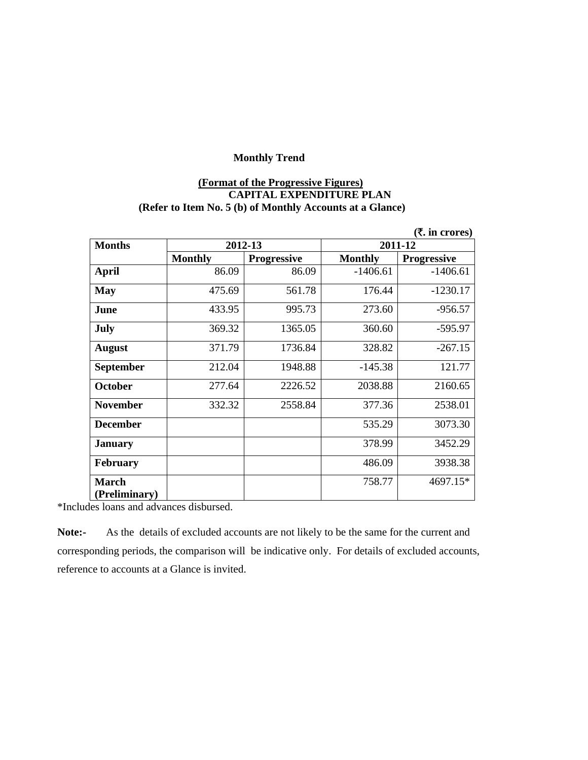# **(Format of the Progressive Figures) CAPITAL EXPENDITURE PLAN (Refer to Item No. 5 (b) of Monthly Accounts at a Glance)**

|                 |                |                    |                | (₹. in crores)     |
|-----------------|----------------|--------------------|----------------|--------------------|
| <b>Months</b>   | 2012-13        |                    |                | 2011-12            |
|                 | <b>Monthly</b> | <b>Progressive</b> | <b>Monthly</b> | <b>Progressive</b> |
| April           | 86.09          | 86.09              | $-1406.61$     | $-1406.61$         |
| <b>May</b>      | 475.69         | 561.78             | 176.44         | $-1230.17$         |
| June            | 433.95         | 995.73             | 273.60         | $-956.57$          |
| <b>July</b>     | 369.32         | 1365.05            | 360.60         | $-595.97$          |
| <b>August</b>   | 371.79         | 1736.84            | 328.82         | $-267.15$          |
| September       | 212.04         | 1948.88            | $-145.38$      | 121.77             |
| <b>October</b>  | 277.64         | 2226.52            | 2038.88        | 2160.65            |
| <b>November</b> | 332.32         | 2558.84            | 377.36         | 2538.01            |
| <b>December</b> |                |                    | 535.29         | 3073.30            |
| <b>January</b>  |                |                    | 378.99         | 3452.29            |
| <b>February</b> |                |                    | 486.09         | 3938.38            |
| <b>March</b>    |                |                    | 758.77         | 4697.15*           |
| (Preliminary)   |                |                    |                |                    |

\*Includes loans and advances disbursed.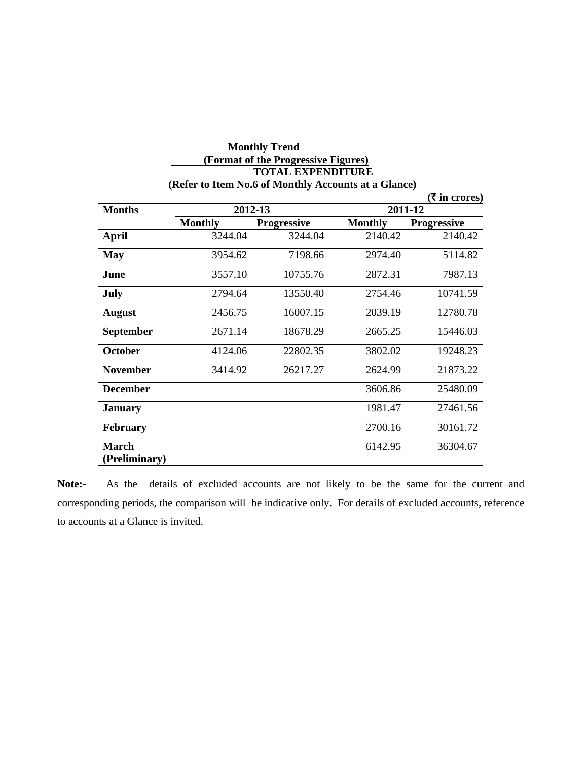#### **Monthly Trend (Format of the Progressive Figures) TOTAL EXPENDITURE (Refer to Item No.6 of Monthly Accounts at a Glance)**

|                        |                |                    |                | ( ₹ in cross)      |
|------------------------|----------------|--------------------|----------------|--------------------|
| <b>Months</b>          | 2012-13        |                    | 2011-12        |                    |
|                        | <b>Monthly</b> | <b>Progressive</b> | <b>Monthly</b> | <b>Progressive</b> |
| <b>April</b>           | 3244.04        | 3244.04            | 2140.42        | 2140.42            |
| <b>May</b>             | 3954.62        | 7198.66            | 2974.40        | 5114.82            |
| June                   | 3557.10        | 10755.76           | 2872.31        | 7987.13            |
| July                   | 2794.64        | 13550.40           | 2754.46        | 10741.59           |
| <b>August</b>          | 2456.75        | 16007.15           | 2039.19        | 12780.78           |
| <b>September</b>       | 2671.14        | 18678.29           | 2665.25        | 15446.03           |
| <b>October</b>         | 4124.06        | 22802.35           | 3802.02        | 19248.23           |
| <b>November</b>        | 3414.92        | 26217.27           | 2624.99        | 21873.22           |
| <b>December</b>        |                |                    | 3606.86        | 25480.09           |
| <b>January</b>         |                |                    | 1981.47        | 27461.56           |
| <b>February</b>        |                |                    | 2700.16        | 30161.72           |
| March<br>(Preliminary) |                |                    | 6142.95        | 36304.67           |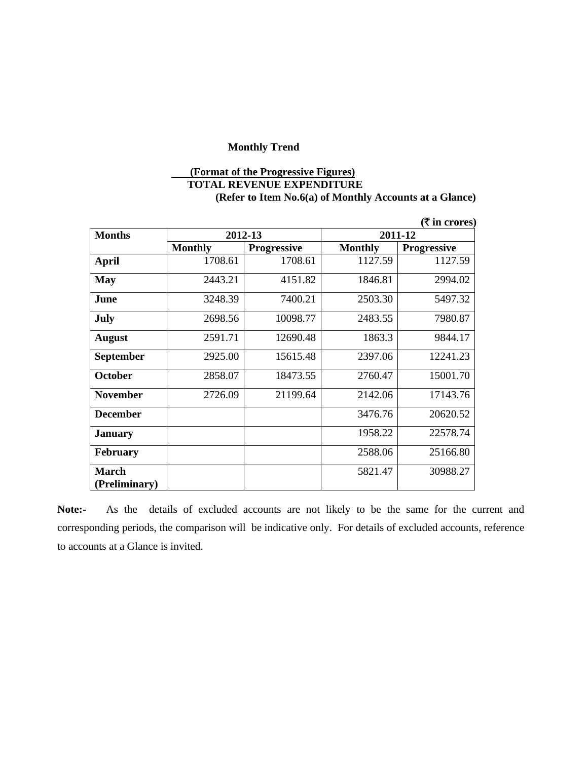# **(Format of the Progressive Figures) TOTAL REVENUE EXPENDITURE (Refer to Item No.6(a) of Monthly Accounts at a Glance)**

|                  |                |                    |                | (₹ in crores)      |
|------------------|----------------|--------------------|----------------|--------------------|
| <b>Months</b>    | 2012-13        |                    | 2011-12        |                    |
|                  | <b>Monthly</b> | <b>Progressive</b> | <b>Monthly</b> | <b>Progressive</b> |
| <b>April</b>     | 1708.61        | 1708.61            | 1127.59        | 1127.59            |
| <b>May</b>       | 2443.21        | 4151.82            | 1846.81        | 2994.02            |
| June             | 3248.39        | 7400.21            | 2503.30        | 5497.32            |
| July             | 2698.56        | 10098.77           | 2483.55        | 7980.87            |
| <b>August</b>    | 2591.71        | 12690.48           | 1863.3         | 9844.17            |
| <b>September</b> | 2925.00        | 15615.48           | 2397.06        | 12241.23           |
| <b>October</b>   | 2858.07        | 18473.55           | 2760.47        | 15001.70           |
| <b>November</b>  | 2726.09        | 21199.64           | 2142.06        | 17143.76           |
| <b>December</b>  |                |                    | 3476.76        | 20620.52           |
| <b>January</b>   |                |                    | 1958.22        | 22578.74           |
| <b>February</b>  |                |                    | 2588.06        | 25166.80           |
| <b>March</b>     |                |                    | 5821.47        | 30988.27           |
| (Preliminary)    |                |                    |                |                    |

**Note:-** As the details of excluded accounts are not likely to be the same for the current and corresponding periods, the comparison will be indicative only. For details of excluded accounts, reference to accounts at a Glance is invited.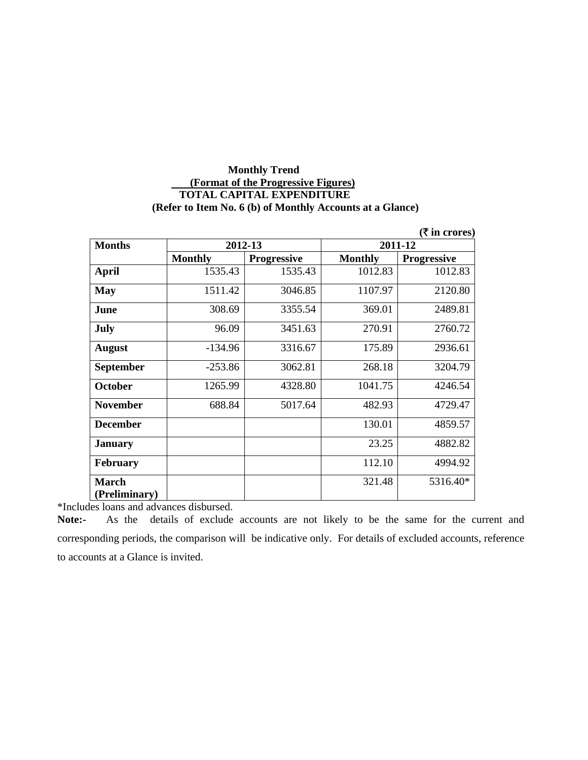### **Monthly Trend (Format of the Progressive Figures) TOTAL CAPITAL EXPENDITURE (Refer to Item No. 6 (b) of Monthly Accounts at a Glance)**

|                 |                |                    |                | (₹ in crores)      |
|-----------------|----------------|--------------------|----------------|--------------------|
| <b>Months</b>   | 2012-13        |                    | 2011-12        |                    |
|                 | <b>Monthly</b> | <b>Progressive</b> | <b>Monthly</b> | <b>Progressive</b> |
| <b>April</b>    | 1535.43        | 1535.43            | 1012.83        | 1012.83            |
| <b>May</b>      | 1511.42        | 3046.85            | 1107.97        | 2120.80            |
| June            | 308.69         | 3355.54            | 369.01         | 2489.81            |
| <b>July</b>     | 96.09          | 3451.63            | 270.91         | 2760.72            |
| <b>August</b>   | $-134.96$      | 3316.67            | 175.89         | 2936.61            |
| September       | $-253.86$      | 3062.81            | 268.18         | 3204.79            |
| <b>October</b>  | 1265.99        | 4328.80            | 1041.75        | 4246.54            |
| <b>November</b> | 688.84         | 5017.64            | 482.93         | 4729.47            |
| <b>December</b> |                |                    | 130.01         | 4859.57            |
| <b>January</b>  |                |                    | 23.25          | 4882.82            |
| <b>February</b> |                |                    | 112.10         | 4994.92            |
| <b>March</b>    |                |                    | 321.48         | 5316.40*           |
| (Preliminary)   |                |                    |                |                    |

\*Includes loans and advances disbursed.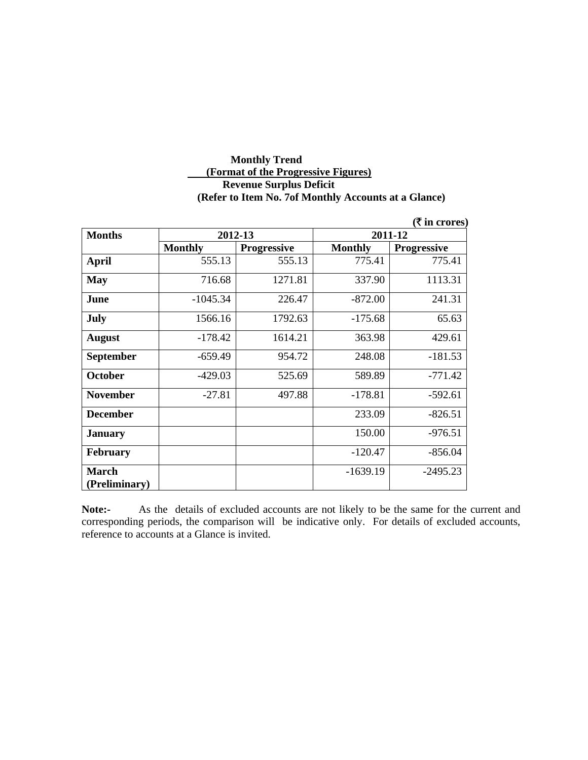# **Monthly Trend (Format of the Progressive Figures) Revenue Surplus Deficit (Refer to Item No. 7of Monthly Accounts at a Glance)**

|                 |                |                    |                | ( ₹ in cross)      |
|-----------------|----------------|--------------------|----------------|--------------------|
| <b>Months</b>   | 2012-13        |                    | 2011-12        |                    |
|                 | <b>Monthly</b> | <b>Progressive</b> | <b>Monthly</b> | <b>Progressive</b> |
| <b>April</b>    | 555.13         | 555.13             | 775.41         | 775.41             |
| <b>May</b>      | 716.68         | 1271.81            | 337.90         | 1113.31            |
| June            | $-1045.34$     | 226.47             | $-872.00$      | 241.31             |
| July            | 1566.16        | 1792.63            | $-175.68$      | 65.63              |
| <b>August</b>   | $-178.42$      | 1614.21            | 363.98         | 429.61             |
| September       | $-659.49$      | 954.72             | 248.08         | $-181.53$          |
| <b>October</b>  | $-429.03$      | 525.69             | 589.89         | $-771.42$          |
| <b>November</b> | $-27.81$       | 497.88             | $-178.81$      | $-592.61$          |
| <b>December</b> |                |                    | 233.09         | $-826.51$          |
| <b>January</b>  |                |                    | 150.00         | $-976.51$          |
| <b>February</b> |                |                    | $-120.47$      | $-856.04$          |
| <b>March</b>    |                |                    | $-1639.19$     | $-2495.23$         |
| (Preliminary)   |                |                    |                |                    |